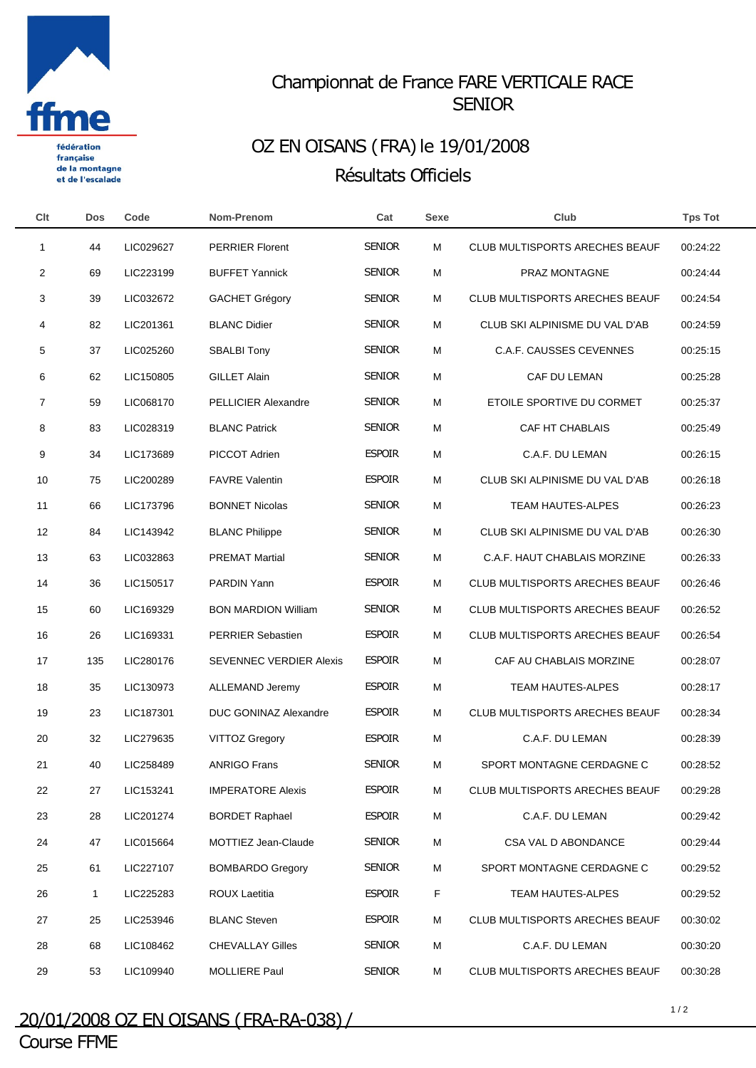

française de la montagne et de l'escalade

## Championnat de France FARE VERTICALE RACE **SENIOR**

## OZ EN OISANS (FRA) le 19/01/2008 Résultats Officiels

| Clt | <b>Dos</b>  | Code      | Nom-Prenom                     | Cat           | <b>Sexe</b> | Club                                  | <b>Tps Tot</b> |  |
|-----|-------------|-----------|--------------------------------|---------------|-------------|---------------------------------------|----------------|--|
| -1  | 44          | LIC029627 | <b>PERRIER Florent</b>         | <b>SENIOR</b> | M           | CLUB MULTISPORTS ARECHES BEAUF        | 00:24:22       |  |
| 2   | 69          | LIC223199 | <b>BUFFET Yannick</b>          | <b>SENIOR</b> | M           | PRAZ MONTAGNE                         | 00:24:44       |  |
| 3   | 39          | LIC032672 | <b>GACHET Grégory</b>          | <b>SENIOR</b> | M           | <b>CLUB MULTISPORTS ARECHES BEAUF</b> | 00:24:54       |  |
| 4   | 82          | LIC201361 | <b>BLANC Didier</b>            | <b>SENIOR</b> | M           | CLUB SKI ALPINISME DU VAL D'AB        | 00:24:59       |  |
| 5   | 37          | LIC025260 | <b>SBALBI Tony</b>             | <b>SENIOR</b> | M           | <b>C.A.F. CAUSSES CEVENNES</b>        | 00:25:15       |  |
| 6   | 62          | LIC150805 | <b>GILLET Alain</b>            | <b>SENIOR</b> | M           | CAF DU LEMAN                          | 00:25:28       |  |
| 7   | 59          | LIC068170 | <b>PELLICIER Alexandre</b>     | <b>SENIOR</b> | M           | ETOILE SPORTIVE DU CORMET             | 00:25:37       |  |
| 8   | 83          | LIC028319 | <b>BLANC Patrick</b>           | <b>SENIOR</b> | M           | CAF HT CHABLAIS                       | 00:25:49       |  |
| 9   | 34          | LIC173689 | PICCOT Adrien                  | <b>ESPOIR</b> | M           | C.A.F. DU LEMAN                       | 00:26:15       |  |
| 10  | 75          | LIC200289 | <b>FAVRE Valentin</b>          | <b>ESPOIR</b> | M           | CLUB SKI ALPINISME DU VAL D'AB        | 00:26:18       |  |
| 11  | 66          | LIC173796 | <b>BONNET Nicolas</b>          | <b>SENIOR</b> | M           | <b>TEAM HAUTES-ALPES</b>              | 00:26:23       |  |
| 12  | 84          | LIC143942 | <b>BLANC Philippe</b>          | <b>SENIOR</b> | M           | CLUB SKI ALPINISME DU VAL D'AB        | 00:26:30       |  |
| 13  | 63          | LIC032863 | <b>PREMAT Martial</b>          | <b>SENIOR</b> | M           | C.A.F. HAUT CHABLAIS MORZINE          | 00:26:33       |  |
| 14  | 36          | LIC150517 | PARDIN Yann                    | <b>ESPOIR</b> | M           | CLUB MULTISPORTS ARECHES BEAUF        | 00:26:46       |  |
| 15  | 60          | LIC169329 | <b>BON MARDION William</b>     | <b>SENIOR</b> | M           | <b>CLUB MULTISPORTS ARECHES BEAUF</b> | 00:26:52       |  |
| 16  | 26          | LIC169331 | <b>PERRIER Sebastien</b>       | <b>ESPOIR</b> | M           | <b>CLUB MULTISPORTS ARECHES BEAUF</b> | 00:26:54       |  |
| 17  | 135         | LIC280176 | <b>SEVENNEC VERDIER Alexis</b> | <b>ESPOIR</b> | M           | CAF AU CHABLAIS MORZINE               | 00:28:07       |  |
| 18  | 35          | LIC130973 | ALLEMAND Jeremy                | <b>ESPOIR</b> | M           | <b>TEAM HAUTES-ALPES</b>              | 00:28:17       |  |
| 19  | 23          | LIC187301 | DUC GONINAZ Alexandre          | <b>ESPOIR</b> | M           | <b>CLUB MULTISPORTS ARECHES BEAUF</b> | 00:28:34       |  |
| 20  | 32          | LIC279635 | <b>VITTOZ Gregory</b>          | <b>ESPOIR</b> | M           | C.A.F. DU LEMAN                       | 00:28:39       |  |
| 21  | 40          | LIC258489 | <b>ANRIGO Frans</b>            | <b>SENIOR</b> | M           | SPORT MONTAGNE CERDAGNE C             | 00:28:52       |  |
| 22  | 27          | LIC153241 | <b>IMPERATORE Alexis</b>       | <b>ESPOIR</b> | M           | <b>CLUB MULTISPORTS ARECHES BEAUF</b> | 00:29:28       |  |
| 23  | 28          | LIC201274 | <b>BORDET Raphael</b>          | <b>ESPOIR</b> | м           | C.A.F. DU LEMAN                       | 00:29:42       |  |
| 24  | 47          | LIC015664 | MOTTIEZ Jean-Claude            | <b>SENIOR</b> | м           | CSA VAL D ABONDANCE                   | 00:29:44       |  |
| 25  | 61          | LIC227107 | <b>BOMBARDO Gregory</b>        | <b>SENIOR</b> | м           | SPORT MONTAGNE CERDAGNE C             | 00:29:52       |  |
| 26  | $\mathbf 1$ | LIC225283 | ROUX Laetitia                  | <b>ESPOIR</b> | F           | TEAM HAUTES-ALPES                     | 00:29:52       |  |
| 27  | 25          | LIC253946 | <b>BLANC Steven</b>            | <b>ESPOIR</b> | м           | CLUB MULTISPORTS ARECHES BEAUF        | 00:30:02       |  |
| 28  | 68          | LIC108462 | <b>CHEVALLAY Gilles</b>        | <b>SENIOR</b> | м           | C.A.F. DU LEMAN                       | 00:30:20       |  |
| 29  | 53          | LIC109940 | MOLLIERE Paul                  | <b>SENIOR</b> | M           | CLUB MULTISPORTS ARECHES BEAUF        | 00:30:28       |  |